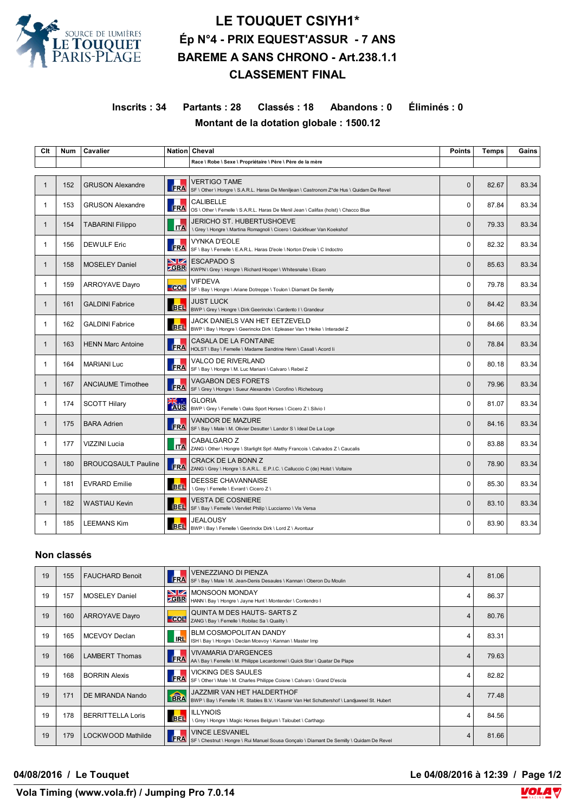

## **LE TOUQUET CSIYH1\* Ép N°4 - PRIX EQUEST'ASSUR - 7 ANS BAREME A SANS CHRONO - Art.238.1.1 CLASSEMENT FINAL**

**Inscrits : 34 Partants : 28 Classés : 18 Abandons : 0 Éliminés : 0 Montant de la dotation globale : 1500.12**

| Clt          | <b>Num</b> | Cavalier                   |                    | Nation Cheval                                                                                                   | <b>Points</b> | <b>Temps</b> | Gains |
|--------------|------------|----------------------------|--------------------|-----------------------------------------------------------------------------------------------------------------|---------------|--------------|-------|
|              |            |                            |                    | Race \ Robe \ Sexe \ Propriétaire \ Père \ Père de la mère                                                      |               |              |       |
|              |            |                            |                    |                                                                                                                 |               |              |       |
| $\mathbf{1}$ | 152        | <b>GRUSON Alexandre</b>    | <b>FRA</b>         | <b>VERTIGO TAME</b><br>SF \ Other \ Hongre \ S.A.R.L. Haras De Meniljean \ Castronom Z*de Hus \ Quidam De Revel | $\Omega$      | 82.67        | 83.34 |
| 1            | 153        | <b>GRUSON Alexandre</b>    | <b>FRA</b>         | CALIBELLE<br>OS \ Other \ Femelle \ S.A.R.L. Haras De Menil Jean \ Califax (holst) \ Chacco Blue                | $\Omega$      | 87.84        | 83.34 |
| 1            | 154        | <b>TABARINI Filippo</b>    | <b>ITA</b>         | <b>JERICHO ST. HUBERTUSHOEVE</b><br>\ Grey \ Hongre \ Martina Romagnoli \ Cicero \ Quickfeuer Van Koekshof      | $\Omega$      | 79.33        | 83.34 |
| 1            | 156        | <b>DEWULF Eric</b>         | <b>FRA</b>         | <b>VYNKA D'EOLE</b><br>SF \ Bay \ Femelle \ E.A.R.L. Haras D'eole \ Norton D'eole \ C Indoctro                  | $\Omega$      | 82.32        | 83.34 |
| 1            | 158        | <b>MOSELEY Daniel</b>      | NZ.<br><b>ZGBR</b> | <b>ESCAPADO S</b><br>KWPN \ Grey \ Hongre \ Richard Hooper \ Whitesnake \ Elcaro                                | $\Omega$      | 85.63        | 83.34 |
| 1            | 159        | <b>ARROYAVE Dayro</b>      | COL                | <b>VIFDEVA</b><br>SF \ Bay \ Hongre \ Ariane Dotreppe \ Toulon \ Diamant De Semilly                             | 0             | 79.78        | 83.34 |
| 1            | 161        | <b>GALDINI Fabrice</b>     | <b>BEL</b>         | JUST LUCK<br>BWP \ Grey \ Hongre \ Dirk Geerinckx \ Cardento I \ Grandeur                                       | $\Omega$      | 84.42        | 83.34 |
| 1            | 162        | <b>GALDINI Fabrice</b>     | <b>BEL</b>         | JACK DANIELS VAN HET EETZEVELD<br>BWP \ Bay \ Hongre \ Geerinckx Dirk \ Epleaser Van 't Heike \ Interadel Z     | $\Omega$      | 84.66        | 83.34 |
| $\mathbf{1}$ | 163        | <b>HENN Marc Antoine</b>   | <b>FRA</b>         | CASALA DE LA FONTAINE<br>HOLST \ Bay \ Femelle \ Madame Sandrine Henn \ Casall \ Acord li                       | $\mathbf{0}$  | 78.84        | 83.34 |
| 1            | 164        | <b>MARIANI Luc</b>         | <b>FRA</b>         | VALCO DE RIVERLAND<br>SF \ Bay \ Hongre \ M. Luc Mariani \ Calvaro \ Rebel Z                                    | $\Omega$      | 80.18        | 83.34 |
| 1            | 167        | <b>ANCIAUME Timothee</b>   | <b>FRA</b>         | <b>VAGABON DES FORETS</b><br>SF \ Grey \ Hongre \ Sueur Alexandre \ Corofino \ Richebourg                       | $\Omega$      | 79.96        | 83.34 |
| 1            | 174        | <b>SCOTT Hilary</b>        |                    | <b>GLORIA</b><br>BWP \ Grey \ Femelle \ Oaks Sport Horses \ Cicero Z \ Silvio I                                 | $\Omega$      | 81.07        | 83.34 |
| 1            | 175        | <b>BARA Adrien</b>         | <b>FRA</b>         | VANDOR DE MAZURE<br>SF \ Bay \ Male \ M. Olivier Desutter \ Landor S \ Ideal De La Loge                         | $\Omega$      | 84.16        | 83.34 |
| 1            | 177        | VIZZINI Lucia              | <b>ITA</b>         | CABALGARO Z<br>ZANG \ Other \ Hongre \ Starlight Sprl -Mathy Francois \ Calvados Z \ Caucalis                   | $\Omega$      | 83.88        | 83.34 |
| $\mathbf{1}$ | 180        | <b>BROUCQSAULT Pauline</b> | FRA                | CRACK DE LA BONN Z<br>ZANG \ Grey \ Hongre \ S.A.R.L. E.P.I.C. \ Calluccio C (de) Holst \ Voltaire              | $\Omega$      | 78.90        | 83.34 |
| 1            | 181        | <b>EVRARD Emilie</b>       | <b>BEL</b>         | DEESSE CHAVANNAISE<br>\ Grev \ Femelle \ Evrard \ Cicero Z \                                                    | $\Omega$      | 85.30        | 83.34 |
| 1            | 182        | <b>WASTIAU Kevin</b>       | <b>BEL</b>         | <b>VESTA DE COSNIERE</b><br>SF \ Bay \ Femelle \ Vervliet Philip \ Luccianno \ Vis Versa                        | $\Omega$      | 83.10        | 83.34 |
| 1            | 185        | <b>LEEMANS Kim</b>         | <b>BEL</b>         | <b>JEALOUSY</b><br>BWP \ Bay \ Femelle \ Geerinckx Dirk \ Lord Z \ Avontuur                                     | $\Omega$      | 83.90        | 83.34 |

## **Non classés**

| 19 | 155 | <b>FAUCHARD Benoit</b>   | <b>FRA</b>              | <b>VENEZZIANO DI PIENZA</b><br>SF \ Bay \ Male \ M. Jean-Denis Desaules \ Kannan \ Oberon Du Moulin                              | $\overline{4}$ | 81.06 |  |
|----|-----|--------------------------|-------------------------|----------------------------------------------------------------------------------------------------------------------------------|----------------|-------|--|
| 19 | 157 | <b>MOSELEY Daniel</b>    | <u>NZ</u><br><b>GBR</b> | <b>IMONSOON MONDAY</b><br>HANN \ Bay \ Hongre \ Jayne Hunt \ Montender \ Contendro I                                             | 4              | 86.37 |  |
| 19 | 160 | <b>ARROYAVE Dayro</b>    | <b>COL</b>              | QUINTA M DES HAUTS-SARTS Z<br>ZANG \ Bay \ Femelle \ Robilac Sa \ Quality \                                                      | 4              | 80.76 |  |
| 19 | 165 | <b>MCEVOY Declan</b>     | <b>IRL</b>              | <b>BLM COSMOPOLITAN DANDY</b><br>ISH \ Bay \ Hongre \ Declan Mcevoy \ Kannan \ Master Imp                                        | 4              | 83.31 |  |
| 19 | 166 | <b>LAMBERT Thomas</b>    | FRA                     | <b>VIVAMARIA D'ARGENCES</b><br>AA \ Bay \ Femelle \ M. Philippe Lecardonnel \ Quick Star \ Quatar De Plape                       | $\overline{4}$ | 79.63 |  |
| 19 | 168 | <b>BORRIN Alexis</b>     | FRA                     | <b>VICKING DES SAULES</b><br>SF \ Other \ Male \ M. Charles Philippe Coisne \ Calvaro \ Grand D'escla                            | 4              | 82.82 |  |
| 19 | 171 | DE MIRANDA Nando         | <b>TERA</b>             | <b>JAZZMIR VAN HET HALDERTHOF</b><br>BWP \ Bay \ Femelle \ R. Stables B.V. \ Kasmir Van Het Schuttershof \ Landjuweel St. Hubert | 4              | 77.48 |  |
| 19 | 178 | <b>BERRITTELLA Loris</b> | <b>BEL</b>              | <b>ILLYNOIS</b><br>Grey \ Hongre \ Magic Horses Belgium \ Taloubet \ Carthago                                                    | 4              | 84.56 |  |
| 19 | 179 | LOCKWOOD Mathilde        | FRA                     | <b>VINCE LESVANIEL</b><br>SF \ Chestnut \ Hongre \ Rui Manuel Sousa Goncalo \ Diamant De Semilly \ Quidam De Revel               | 4              | 81.66 |  |

**04/08/2016 / Le Touquet Le 04/08/2016 à 12:39 / Page 1/2**